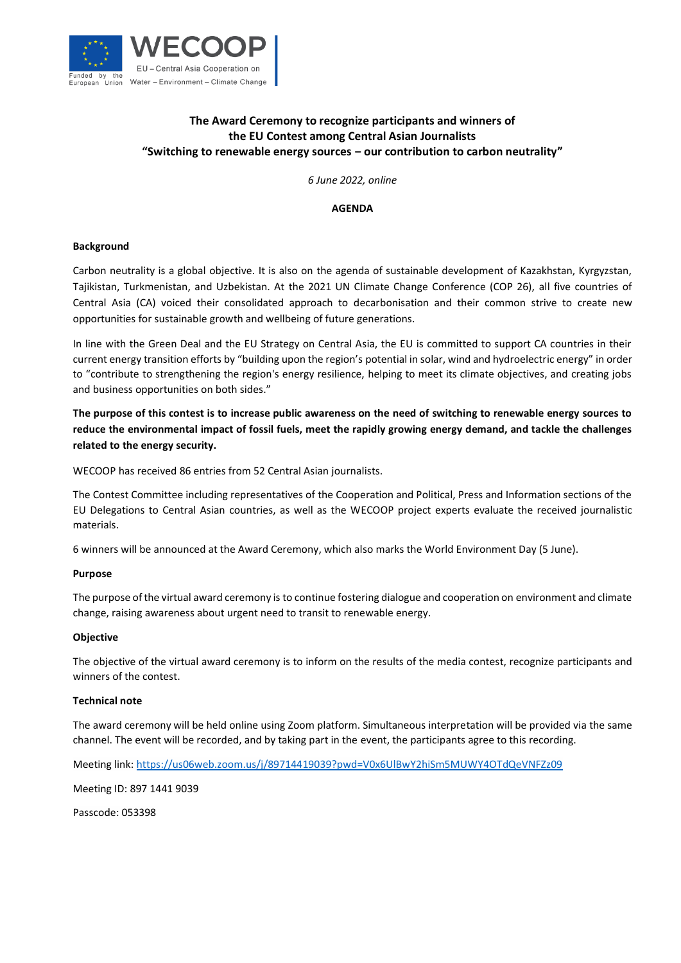

# **The Award Ceremony to recognize participants and winners of the EU Contest among Central Asian Journalists "Switching to renewable energy sources ‒ our contribution to carbon neutrality"**

*6 June 2022, online*

### **AGENDA**

## **Background**

Carbon neutrality is a global objective. It is also on the agenda of sustainable development of Kazakhstan, Kyrgyzstan, Tajikistan, Turkmenistan, and Uzbekistan. At the 2021 UN Climate Change Conference (COP 26), all five countries of Central Asia (CA) voiced their consolidated approach to decarbonisation and their common strive to create new opportunities for sustainable growth and wellbeing of future generations.

In line with the Green Deal and the EU Strategy on Central Asia, the EU is committed to support CA countries in their current energy transition efforts by "building upon the region's potential in solar, wind and hydroelectric energy" in order to "contribute to strengthening the region's energy resilience, helping to meet its climate objectives, and creating jobs and business opportunities on both sides."

**The purpose of this contest is to increase public awareness on the need of switching to renewable energy sources to reduce the environmental impact of fossil fuels, meet the rapidly growing energy demand, and tackle the challenges related to the energy security.**

WECOOP has received 86 entries from 52 Central Asian journalists.

The Contest Committee including representatives of the Cooperation and Political, Press and Information sections of the EU Delegations to Central Asian countries, as well as the WECOOP project experts evaluate the received journalistic materials.

6 winners will be announced at the Award Ceremony, which also marks the World Environment Day (5 June).

#### **Purpose**

The purpose of the virtual award ceremony is to continue fostering dialogue and cooperation on environment and climate change, raising awareness about urgent need to transit to renewable energy.

#### **Objective**

The objective of the virtual award ceremony is to inform on the results of the media contest, recognize participants and winners of the contest.

#### **Technical note**

The award ceremony will be held online using Zoom platform. Simultaneous interpretation will be provided via the same channel. The event will be recorded, and by taking part in the event, the participants agree to this recording.

Meeting link:<https://us06web.zoom.us/j/89714419039?pwd=V0x6UlBwY2hiSm5MUWY4OTdQeVNFZz09>

Meeting ID: 897 1441 9039

Passcode: 053398